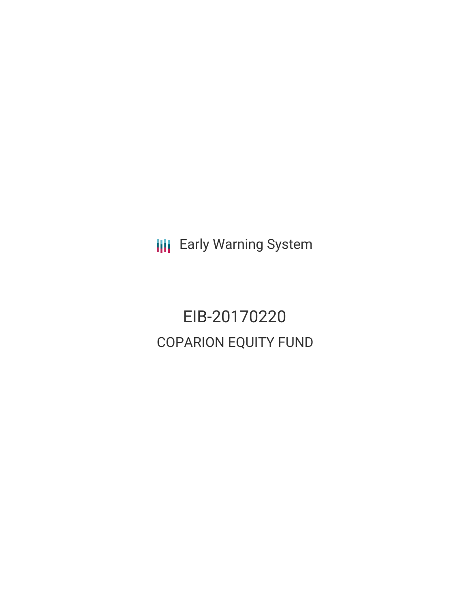**III** Early Warning System

EIB-20170220 COPARION EQUITY FUND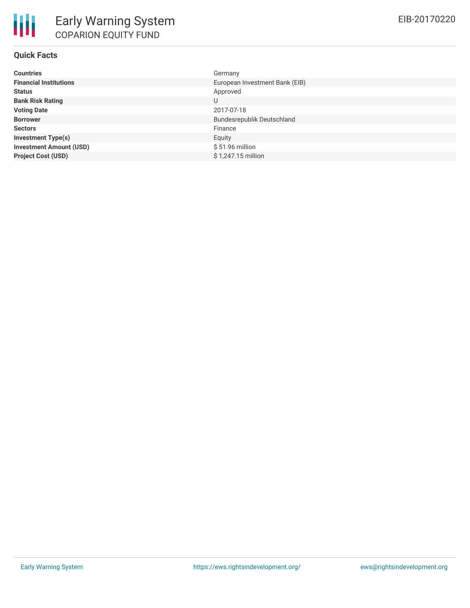# **Quick Facts**

| <b>Countries</b>               | Germany                           |
|--------------------------------|-----------------------------------|
| <b>Financial Institutions</b>  | European Investment Bank (EIB)    |
| <b>Status</b>                  | Approved                          |
| <b>Bank Risk Rating</b>        | U                                 |
| <b>Voting Date</b>             | 2017-07-18                        |
| <b>Borrower</b>                | <b>Bundesrepublik Deutschland</b> |
| <b>Sectors</b>                 | Finance                           |
| <b>Investment Type(s)</b>      | Equity                            |
| <b>Investment Amount (USD)</b> | $$51.96$ million                  |
| <b>Project Cost (USD)</b>      | \$1,247.15 million                |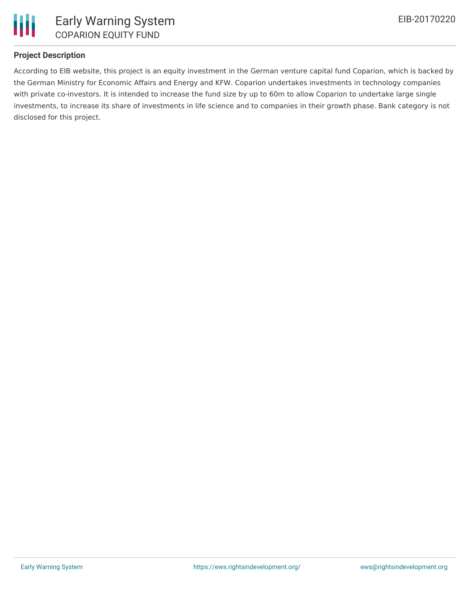

# **Project Description**

According to EIB website, this project is an equity investment in the German venture capital fund Coparion, which is backed by the German Ministry for Economic Affairs and Energy and KFW. Coparion undertakes investments in technology companies with private co-investors. It is intended to increase the fund size by up to 60m to allow Coparion to undertake large single investments, to increase its share of investments in life science and to companies in their growth phase. Bank category is not disclosed for this project.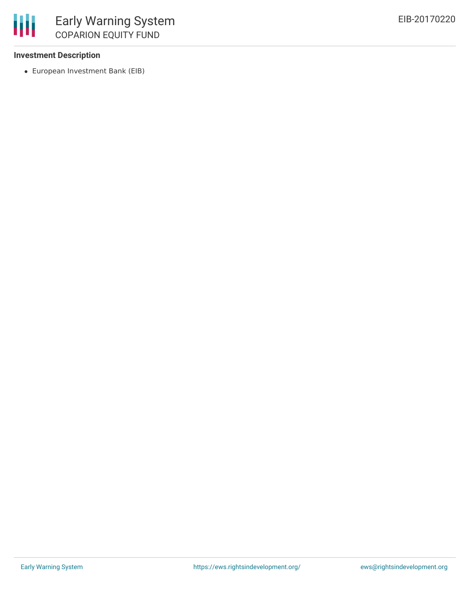## **Investment Description**

冊

European Investment Bank (EIB)